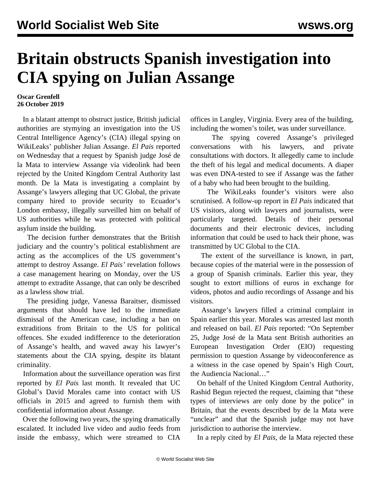## **Britain obstructs Spanish investigation into CIA spying on Julian Assange**

## **Oscar Grenfell 26 October 2019**

 In a blatant attempt to obstruct justice, British judicial authorities are stymying an investigation into the US Central Intelligence Agency's (CIA) illegal spying on WikiLeaks' publisher Julian Assange. *El Pais* reported on Wednesday that a request by Spanish judge José de la Mata to interview Assange via videolink had been rejected by the United Kingdom Central Authority last month. De la Mata is investigating a complaint by Assange's lawyers alleging that UC Global, the private company hired to provide security to Ecuador's London embassy, illegally surveilled him on behalf of US authorities while he was protected with political asylum inside the building.

 The decision further demonstrates that the British judiciary and the country's political establishment are acting as the accomplices of the US government's attempt to destroy Assange. *El Pais'* revelation follows a case management hearing on Monday, over the US attempt to extradite Assange, that can only be described as a lawless show trial.

 The presiding judge, Vanessa Baraitser, dismissed arguments that should have led to the immediate dismissal of the American case, including a ban on extraditions from Britain to the US for political offences. She exuded indifference to the deterioration of Assange's health, and waved away his lawyer's statements about the CIA spying, despite its blatant criminality.

 Information about the surveillance operation was first reported by *El Pais* last month. It revealed that UC Global's David Morales came into contact with US officials in 2015 and agreed to furnish them with confidential information about Assange.

 Over the following two years, the spying dramatically escalated. It included live video and audio feeds from inside the embassy, which were streamed to CIA offices in Langley, Virginia. Every area of the building, including the women's toilet, was under surveillance.

 The spying covered Assange's privileged conversations with his lawyers, and private consultations with doctors. It allegedly came to include the theft of his legal and medical documents. A diaper was even DNA-tested to see if Assange was the father of a baby who had been brought to the building.

 The WikiLeaks founder's visitors were also scrutinised. A follow-up report in *El Pais* indicated that US visitors, along with lawyers and journalists, were particularly targeted. Details of their personal documents and their electronic devices, including information that could be used to hack their phone, was transmitted by UC Global to the CIA.

 The extent of the surveillance is known, in part, because copies of the material were in the possession of a group of Spanish criminals. Earlier this year, they sought to extort millions of euros in exchange for videos, photos and audio recordings of Assange and his visitors.

 Assange's lawyers filled a criminal complaint in Spain earlier this year. Morales was arrested last month and released on bail. *El Pais* reported: "On September 25, Judge José de la Mata sent British authorities an European Investigation Order (EIO) requesting permission to question Assange by videoconference as a witness in the case opened by Spain's High Court, the Audiencia Nacional…"

 On behalf of the United Kingdom Central Authority, Rashid Begun rejected the request, claiming that "these types of interviews are only done by the police" in Britain, that the events described by de la Mata were "unclear" and that the Spanish judge may not have jurisdiction to authorise the interview.

In a reply cited by *El Pais*, de la Mata rejected these